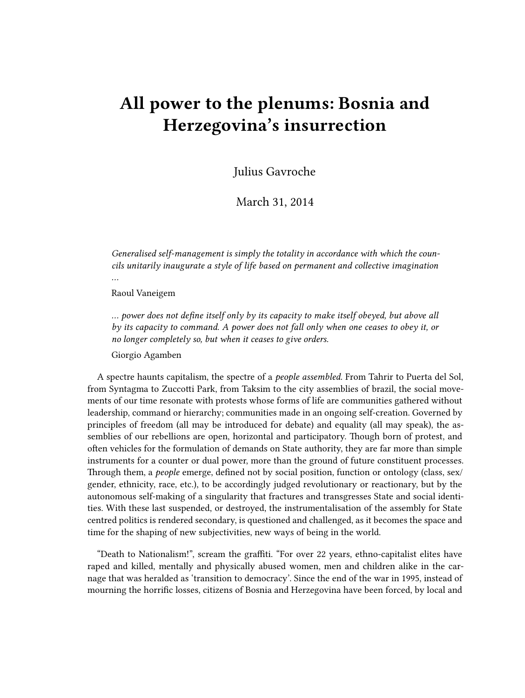## **All power to the plenums: Bosnia and Herzegovina's insurrection**

Julius Gavroche

March 31, 2014

*Generalised self-management is simply the totality in accordance with which the councils unitarily inaugurate a style of life based on permanent and collective imagination …*

Raoul Vaneigem

*… power does not define itself only by its capacity to make itself obeyed, but above all by its capacity to command. A power does not fall only when one ceases to obey it, or no longer completely so, but when it ceases to give orders.*

Giorgio Agamben

A spectre haunts capitalism, the spectre of a *people assembled*. From Tahrir to Puerta del Sol, from Syntagma to Zuccotti Park, from Taksim to the city assemblies of brazil, the social movements of our time resonate with protests whose forms of life are communities gathered without leadership, command or hierarchy; communities made in an ongoing self-creation. Governed by principles of freedom (all may be introduced for debate) and equality (all may speak), the assemblies of our rebellions are open, horizontal and participatory. Though born of protest, and often vehicles for the formulation of demands on State authority, they are far more than simple instruments for a counter or dual power, more than the ground of future constituent processes. Through them, a *people* emerge, defined not by social position, function or ontology (class, sex/ gender, ethnicity, race, etc.), to be accordingly judged revolutionary or reactionary, but by the autonomous self-making of a singularity that fractures and transgresses State and social identities. With these last suspended, or destroyed, the instrumentalisation of the assembly for State centred politics is rendered secondary, is questioned and challenged, as it becomes the space and time for the shaping of new subjectivities, new ways of being in the world.

"Death to Nationalism!", scream the graffiti. "For over 22 years, ethno-capitalist elites have raped and killed, mentally and physically abused women, men and children alike in the carnage that was heralded as 'transition to democracy'. Since the end of the war in 1995, instead of mourning the horrific losses, citizens of Bosnia and Herzegovina have been forced, by local and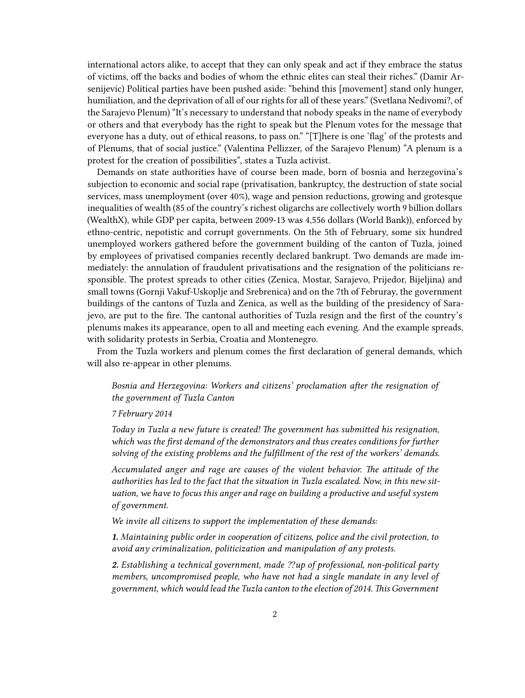international actors alike, to accept that they can only speak and act if they embrace the status of victims, off the backs and bodies of whom the ethnic elites can steal their riches." (Damir Arsenijevic) Political parties have been pushed aside: "behind this [movement] stand only hunger, humiliation, and the deprivation of all of our rights for all of these years." (Svetlana Nedivomi?, of the Sarajevo Plenum) "It's necessary to understand that nobody speaks in the name of everybody or others and that everybody has the right to speak but the Plenum votes for the message that everyone has a duty, out of ethical reasons, to pass on." "[T]here is one 'flag' of the protests and of Plenums, that of social justice." (Valentina Pellizzer, of the Sarajevo Plenum) "A plenum is a protest for the creation of possibilities", states a Tuzla activist.

Demands on state authorities have of course been made, born of bosnia and herzegovina's subjection to economic and social rape (privatisation, bankruptcy, the destruction of state social services, mass unemployment (over 40%), wage and pension reductions, growing and grotesque inequalities of wealth (85 of the country's richest oligarchs are collectively worth 9 billion dollars (WealthX), while GDP per capita, between 2009-13 was 4,556 dollars (World Bank)), enforced by ethno-centric, nepotistic and corrupt governments. On the 5th of February, some six hundred unemployed workers gathered before the government building of the canton of Tuzla, joined by employees of privatised companies recently declared bankrupt. Two demands are made immediately: the annulation of fraudulent privatisations and the resignation of the politicians responsible. The protest spreads to other cities (Zenica, Mostar, Sarajevo, Prijedor, Bijeljina) and small towns (Gornji Vakuf-Uskoplje and Srebrenica) and on the 7th of Februray, the government buildings of the cantons of Tuzla and Zenica, as well as the building of the presidency of Sarajevo, are put to the fire. The cantonal authorities of Tuzla resign and the first of the country's plenums makes its appearance, open to all and meeting each evening. And the example spreads, with solidarity protests in Serbia, Croatia and Montenegro.

From the Tuzla workers and plenum comes the first declaration of general demands, which will also re-appear in other plenums.

*Bosnia and Herzegovina: Workers and citizens' proclamation after the resignation of the government of Tuzla Canton*

## *7 February 2014*

*Today in Tuzla a new future is created! The government has submitted his resignation, which was the first demand of the demonstrators and thus creates conditions for further solving of the existing problems and the fulfillment of the rest of the workers' demands.*

*Accumulated anger and rage are causes of the violent behavior. The attitude of the authorities has led to the fact that the situation in Tuzla escalated. Now, in this new situation, we have to focus this anger and rage on building a productive and useful system of government.*

*We invite all citizens to support the implementation of these demands:*

*1. Maintaining public order in cooperation of citizens, police and the civil protection, to avoid any criminalization, politicization and manipulation of any protests.*

*2. Establishing a technical government, made ⁇up of professional, non-political party members, uncompromised people, who have not had a single mandate in any level of government, which would lead the Tuzla canton to the election of 2014. This Government*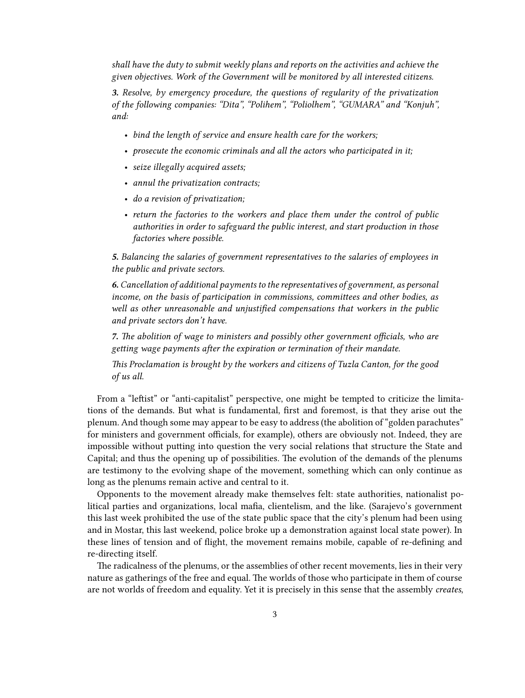*shall have the duty to submit weekly plans and reports on the activities and achieve the given objectives. Work of the Government will be monitored by all interested citizens.*

*3. Resolve, by emergency procedure, the questions of regularity of the privatization of the following companies: "Dita", "Polihem", "Poliolhem", "GUMARA" and "Konjuh", and:*

- *bind the length of service and ensure health care for the workers;*
- *prosecute the economic criminals and all the actors who participated in it;*
- *seize illegally acquired assets;*
- *annul the privatization contracts;*
- *do a revision of privatization;*
- *return the factories to the workers and place them under the control of public authorities in order to safeguard the public interest, and start production in those factories where possible.*

*5. Balancing the salaries of government representatives to the salaries of employees in the public and private sectors.*

*6. Cancellation of additional payments to the representatives of government, as personal income, on the basis of participation in commissions, committees and other bodies, as well as other unreasonable and unjustified compensations that workers in the public and private sectors don't have.*

*7. The abolition of wage to ministers and possibly other government officials, who are getting wage payments after the expiration or termination of their mandate.*

*This Proclamation is brought by the workers and citizens of Tuzla Canton, for the good of us all.*

From a "leftist" or "anti-capitalist" perspective, one might be tempted to criticize the limitations of the demands. But what is fundamental, first and foremost, is that they arise out the plenum. And though some may appear to be easy to address (the abolition of "golden parachutes" for ministers and government officials, for example), others are obviously not. Indeed, they are impossible without putting into question the very social relations that structure the State and Capital; and thus the opening up of possibilities. The evolution of the demands of the plenums are testimony to the evolving shape of the movement, something which can only continue as long as the plenums remain active and central to it.

Opponents to the movement already make themselves felt: state authorities, nationalist political parties and organizations, local mafia, clientelism, and the like. (Sarajevo's government this last week prohibited the use of the state public space that the city's plenum had been using and in Mostar, this last weekend, police broke up a demonstration against local state power). In these lines of tension and of flight, the movement remains mobile, capable of re-defining and re-directing itself.

The radicalness of the plenums, or the assemblies of other recent movements, lies in their very nature as gatherings of the free and equal. The worlds of those who participate in them of course are not worlds of freedom and equality. Yet it is precisely in this sense that the assembly *creates*,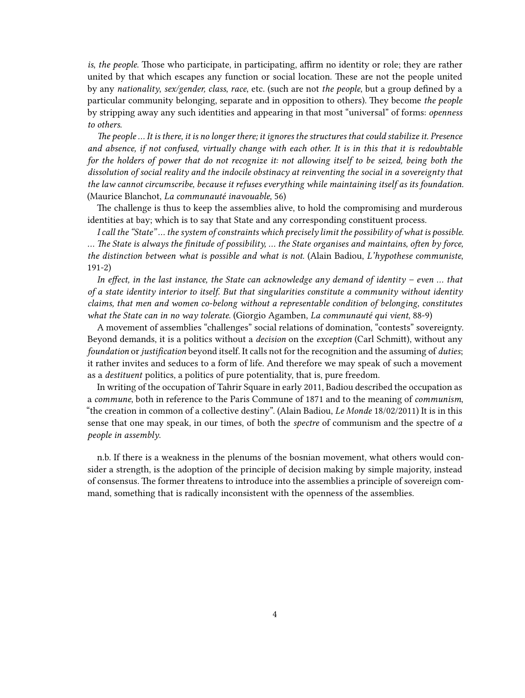*is*, *the people*. Those who participate, in participating, affirm no identity or role; they are rather united by that which escapes any function or social location. These are not the people united by any *nationality*, *sex/gender, class*, *race*, etc. (such are not *the people*, but a group defined by a particular community belonging, separate and in opposition to others). They become *the people* by stripping away any such identities and appearing in that most "universal" of forms: *openness to others*.

*The people … It is there, it is no longer there; it ignores the structures that could stabilize it. Presence and absence, if not confused, virtually change with each other. It is in this that it is redoubtable for the holders of power that do not recognize it: not allowing itself to be seized, being both the dissolution of social reality and the indocile obstinacy at reinventing the social in a sovereignty that the law cannot circumscribe, because it refuses everything while maintaining itself as its foundation.* (Maurice Blanchot, *La communauté inavouable,* 56)

The challenge is thus to keep the assemblies alive, to hold the compromising and murderous identities at bay; which is to say that State and any corresponding constituent process.

*I call the "State" … the system of constraints which precisely limit the possibility of what is possible. … The State is always the finitude of possibility, … the State organises and maintains, often by force, the distinction between what is possible and what is not.* (Alain Badiou, *L'hypothese communiste*, 191-2)

*In effect, in the last instance, the State can acknowledge any demand of identity – even … that of a state identity interior to itself. But that singularities constitute a community without identity claims, that men and women co-belong without a representable condition of belonging, constitutes what the State can in no way tolerate.* (Giorgio Agamben, *La communauté qui vient*, 88-9)

A movement of assemblies "challenges" social relations of domination, "contests" sovereignty. Beyond demands, it is a politics without a *decision* on the *exception* (Carl Schmitt), without any *foundation* or *justification* beyond itself. It calls not for the recognition and the assuming of *duties*; it rather invites and seduces to a form of life. And therefore we may speak of such a movement as a *destituent* politics, a politics of pure potentiality, that is, pure freedom.

In writing of the occupation of Tahrir Square in early 2011, Badiou described the occupation as a *commune*, both in reference to the Paris Commune of 1871 and to the meaning of *communism*, "the creation in common of a collective destiny". (Alain Badiou, *Le Monde* 18/02/2011) It is in this sense that one may speak, in our times, of both the *spectre* of communism and the spectre of *a people in assembly*.

n.b. If there is a weakness in the plenums of the bosnian movement, what others would consider a strength, is the adoption of the principle of decision making by simple majority, instead of consensus. The former threatens to introduce into the assemblies a principle of sovereign command, something that is radically inconsistent with the openness of the assemblies.